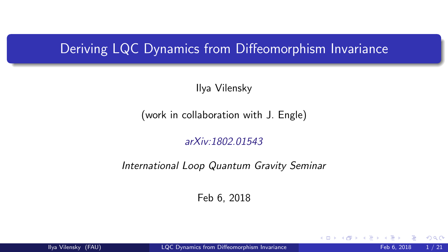#### <span id="page-0-0"></span>Deriving LQC Dynamics from Diffeomorphism Invariance

Ilya Vilensky

(work in collaboration with J. Engle)

[arXiv:1802.01543](http://arxiv.org/abs/1802.01543)

International Loop Quantum Gravity Seminar

Feb 6, 2018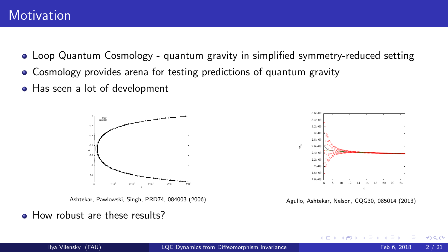- Loop Quantum Cosmology quantum gravity in simplified symmetry-reduced setting
- Cosmology provides arena for testing predictions of quantum gravity
- Has seen a lot of development



Ashtekar, Pawlowski, Singh, PRD74, 084003 (2006)

**• How robust are these results?** 



Agullo, Ashtekar, Nelson, CQG30, 085014 (2013)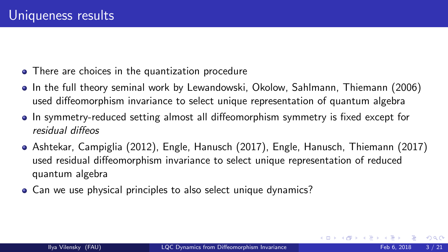- There are choices in the quantization procedure
- In the full theory seminal work by Lewandowski, Okolow, Sahlmann, Thiemann (2006) used diffeomorphism invariance to select unique representation of quantum algebra
- In symmetry-reduced setting almost all diffeomorphism symmetry is fixed except for residual diffeos
- Ashtekar, Campiglia (2012), Engle, Hanusch (2017), Engle, Hanusch, Thiemann (2017) used residual diffeomorphism invariance to select unique representation of reduced quantum algebra
- Can we use physical principles to also select unique dynamics?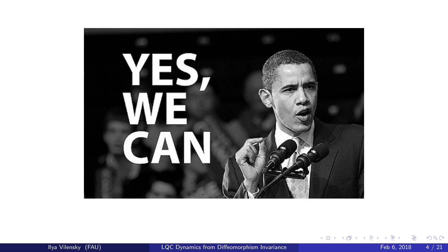

(ロ) (個) (差) (差) (差) のQC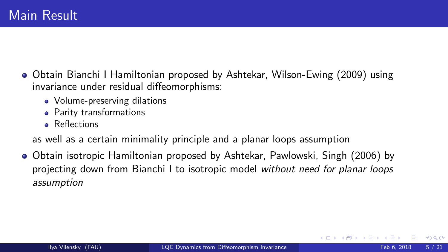- Obtain Bianchi I Hamiltonian proposed by Ashtekar, Wilson-Ewing (2009) using invariance under residual diffeomorphisms:
	- Volume-preserving dilations
	- **•** Parity transformations
	- **Beflections**

as well as a certain minimality principle and a planar loops assumption

Obtain isotropic Hamiltonian proposed by Ashtekar, Pawlowski, Singh (2006) by projecting down from Bianchi I to isotropic model without need for planar loops assumption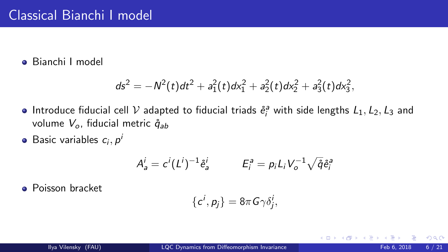#### Bianchi I model

$$
ds^{2} = -N^{2}(t)dt^{2} + a_{1}^{2}(t)dx_{1}^{2} + a_{2}^{2}(t)dx_{2}^{2} + a_{3}^{2}(t)dx_{3}^{2},
$$

- Introduce fiducial cell  $V$  adapted to fiducial triads  $\mathring{e}^a_i$  with side lengths  $L_1, L_2, L_3$  and volume  $V_o$ , fiducial metric  $\mathring{q}_{ab}$
- Basic variables  $c_i, p^i$

$$
A_a^i = c^i (L^i)^{-1} \mathring{e}_a^i \qquad E_i^a = p_i L_i V_o^{-1} \sqrt{\mathring{q}} \mathring{e}_i^a
$$

Poisson bracket

$$
\{c^i,p_j\}=8\pi G\gamma\delta_j^i,
$$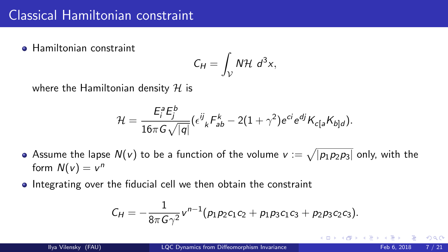#### Classical Hamiltonian constraint

**• Hamiltonian constraint** 

$$
C_H = \int_{\mathcal{V}} N \mathcal{H} \ d^3x,
$$

where the Hamiltonian density  $H$  is

$$
\mathcal{H}=\frac{E_i^a E_j^b}{16\pi G\sqrt{|q|}}(\epsilon^{ij}_{\ k}F_{ab}^k-2(1+\gamma^2)e^{ci}e^{dj}K_{c[a}K_{b]d}).
$$

- Assume the lapse  $N(v)$  to be a function of the volume  $v := \sqrt{|p_1p_2p_3|}$  only, with the form  $N(v) = v^n$
- Integrating over the fiducial cell we then obtain the constraint

$$
C_H=-\frac{1}{8\pi G\gamma^2}v^{n-1}(p_1p_2c_1c_2+p_1p_3c_1c_3+p_2p_3c_2c_3).
$$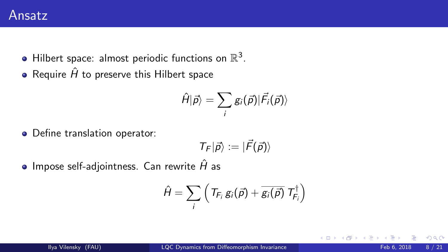- Hilbert space: almost periodic functions on  $\mathbb{R}^3$ .
- Require  $\hat{H}$  to preserve this Hilbert space

$$
\hat{H}|\vec{\rho}\rangle=\sum_{i}g_{i}(\vec{\rho})|\vec{F}_{i}(\vec{\rho})\rangle
$$

Define translation operator:

$$
\mathcal{T}_F|\vec{\rho}\rangle:=|\vec{F}(\vec{\rho})\rangle
$$

 $\bullet$  Impose self-adjointness. Can rewrite  $\hat{H}$  as

$$
\hat{H} = \sum_i \left( T_{F_i} g_i(\vec{p}) + \overline{g_i(\vec{p})} T_{F_i}^{\dagger} \right)
$$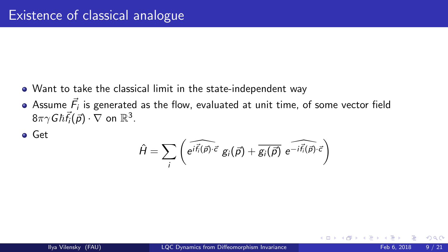- Want to take the classical limit in the state-independent way
- Assume  $\vec{F}_i$  is generated as the flow, evaluated at unit time, of some vector field  $8\pi\gamma G\hbar\vec{f}_i(\vec{p})\cdot\nabla$  on  $\mathbb{R}^3$ .
- **o** Get

$$
\hat{H} = \sum_{i} \left( \widehat{e^{i\vec{f}_{i}(\vec{p}) \cdot \vec{c}} g_{i}(\vec{p})} + \widehat{g_{i}(\vec{p})} e^{-i\vec{f}_{i}(\vec{p}) \cdot \vec{c}} \right)
$$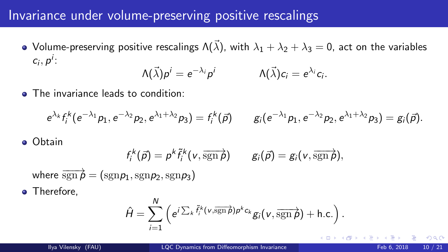#### Invariance under volume-preserving positive rescalings

• Volume-preserving positive rescalings  $\Lambda(\vec{\lambda})$ , with  $\lambda_1 + \lambda_2 + \lambda_3 = 0$ , act on the variables  $c_i, p^i$ :

$$
\Lambda(\vec{\lambda})p^i=e^{-\lambda_i}p^i \qquad \qquad \Lambda(\vec{\lambda})c_i=e^{\lambda_i}c_i.
$$

**• The invariance leads to condition:** 

$$
e^{\lambda_k} f_i^k (e^{-\lambda_1} p_1, e^{-\lambda_2} p_2, e^{\lambda_1 + \lambda_2} p_3) = f_i^k(\vec{p}) \qquad g_i(e^{-\lambda_1} p_1, e^{-\lambda_2} p_2, e^{\lambda_1 + \lambda_2} p_3) = g_i(\vec{p}).
$$

Obtain

$$
f_i^k(\vec{p})=p^k\tilde{f}_i^k(v,\overline{\operatorname{sgn}{\rho}})\qquad g_i(\vec{p})=g_i(v,\overline{\operatorname{sgn}{\rho}}),
$$

where  $\overrightarrow{sgn p} = (sgn p_1, sgn p_2, sgn p_3)$ 

• Therefore,

$$
\hat{H} = \sum_{i=1}^N \left( e^{i \sum_k \tilde{f}_i^k(v, \overrightarrow{\text{sgn}\,\rho}) \rho^k c_k} g_i(v, \overrightarrow{\text{sgn}\,\rho}) + \text{h.c.} \right).
$$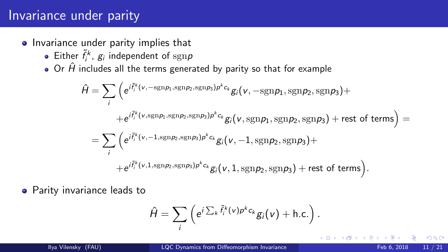# Invariance under parity

- Invariance under parity implies that
	- Either  $\tilde{f}_i^k$ ,  $g_i$  independent of  $\text{sgn} p$
	- $\bullet$  Or  $\hat{H}$  includes all the terms generated by parity so that for example

$$
\hat{H} = \sum_{i} \left( e^{i \tilde{f}_{i}^{k}(v, -\text{sgn}p_{1}, \text{sgn}p_{2}, \text{sgn}p_{3})p^{k}c_{k}} g_{i}(v, -\text{sgn}p_{1}, \text{sgn}p_{2}, \text{sgn}p_{3}) +
$$
\n
$$
+ e^{i \tilde{f}_{i}^{k}(v, \text{sgn}p_{1}, \text{sgn}p_{2}, \text{sgn}p_{3})p^{k}c_{k}} g_{i}(v, \text{sgn}p_{1}, \text{sgn}p_{2}, \text{sgn}p_{3}) + \text{rest of terms} \right) =
$$
\n
$$
= \sum_{i} \left( e^{i \tilde{f}_{i}^{k}(v, -1, \text{sgn}p_{2}, \text{sgn}p_{3})p^{k}c_{k}} g_{i}(v, -1, \text{sgn}p_{2}, \text{sgn}p_{3}) +
$$
\n
$$
+ e^{i \tilde{f}_{i}^{k}(v, 1, \text{sgn}p_{2}, \text{sgn}p_{3})p^{k}c_{k}} g_{i}(v, 1, \text{sgn}p_{2}, \text{sgn}p_{3}) + \text{rest of terms} \right).
$$

**•** Parity invariance leads to

$$
\hat{H} = \sum_i \left( e^{i \sum_k \tilde{f}_i^k(v) p^k c_k} g_i(v) + \text{h.c.} \right).
$$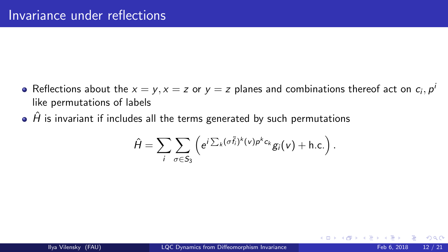- Reflections about the  $x = y$ ,  $x = z$  or  $y = z$  planes and combinations thereof act on  $c_i$ ,  $p^i$ like permutations of labels
- $\hat{H}$  is invariant if includes all the terms generated by such permutations

$$
\hat{H} = \sum_{i} \sum_{\sigma \in S_3} \left( e^{i \sum_{k} (\sigma \tilde{f}_i)^k(v) p^k c_k} g_i(v) + \text{h.c.} \right).
$$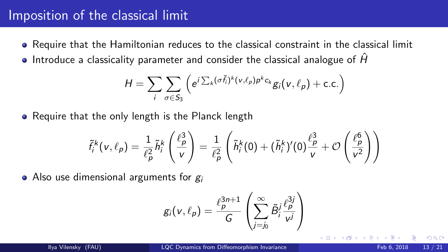#### Imposition of the classical limit

- Require that the Hamiltonian reduces to the classical constraint in the classical limit
- Introduce a classicality parameter and consider the classical analogue of  $\hat{H}$

$$
H = \sum_{i} \sum_{\sigma \in S_3} \left( e^{i \sum_{k} (\sigma \tilde{f}_i)^k (v, \ell_p) p^k c_k} g_i(v, \ell_p) + \text{c.c.} \right)
$$

• Require that the only length is the Planck length

$$
\tilde{f}_i^k(v,\ell_p) = \frac{1}{\ell_p^2} \tilde{h}_i^k \left(\frac{\ell_p^3}{v}\right) = \frac{1}{\ell_p^2} \left(\tilde{h}_i^k(0) + (\tilde{h}_i^k)'(0)\frac{\ell_p^3}{v} + \mathcal{O}\left(\frac{\ell_p^6}{v^2}\right)\right)
$$

• Also use dimensional arguments for  $g_i$ 

$$
g_i(v,\ell_p) = \frac{\ell_p^{3n+1}}{G} \left( \sum_{j=j_0}^{\infty} \tilde{B}_i^j \frac{\ell_p^{3j}}{v^j} \right)
$$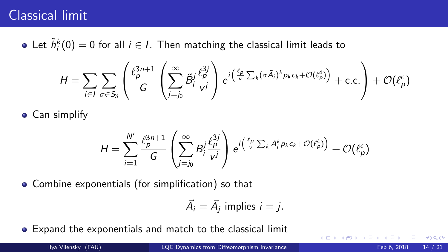# Classical limit

Let  $\tilde{h}_i^k(0) = 0$  for all  $i \in I$ . Then matching the classical limit leads to

$$
H = \sum_{i \in I} \sum_{\sigma \in S_3} \left( \frac{\ell_p^{3n+1}}{G} \left( \sum_{j=j_0}^{\infty} \tilde{B}_i^j \frac{\ell_p^{3j}}{\nu^j} \right) e^{i \left( \frac{\ell_p}{\nu} \sum_k (\sigma \tilde{A}_i)^k p_k c_k + \mathcal{O}(\ell_p^4) \right)} + \text{c.c.} \right) + \mathcal{O}(\ell_p^{\epsilon})
$$

• Can simplify

$$
H = \sum_{i=1}^{N'} \frac{\ell_p^{3n+1}}{G} \left( \sum_{j=j_0}^{\infty} B_j^j \frac{\ell_p^{3j}}{v^j} \right) e^{i \left( \frac{\ell_p}{v} \sum_k A_j^k p_k c_k + \mathcal{O}(\ell_p^4) \right)} + \mathcal{O}(\ell_p^{\epsilon})
$$

Combine exponentials (for simplification) so that

$$
\vec{A}_i = \vec{A}_j \text{ implies } i = j.
$$

Expand the exponentials and match to the classical limit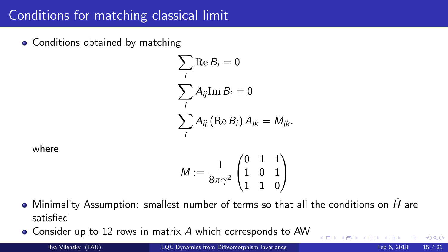# Conditions for matching classical limit

• Conditions obtained by matching

$$
\sum_{i} \text{Re } B_{i} = 0
$$
  

$$
\sum_{i} A_{ij} \text{Im } B_{i} = 0
$$
  

$$
\sum_{i} A_{ij} (\text{Re } B_{i}) A_{ik} = M_{jk}.
$$

where

$$
M:=\frac{1}{8\pi\gamma^2}\begin{pmatrix}0 & 1 & 1 \\ 1 & 0 & 1 \\ 1 & 1 & 0\end{pmatrix}
$$

- $\bullet$  Minimality Assumption: smallest number of terms so that all the conditions on  $\hat{H}$  are satisfied
- Consider up to 12 rows in matrix A which corresponds to AW

$$
Feb 6, 2018 \t 15 / 21
$$

 $299$ 

**K ロ ト イ ト**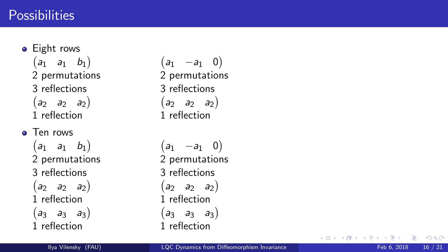#### **Possibilities**

• Eight rows  $(a_1 \quad a_1 \quad b_1)$ 2 permutations 3 reflections  $(a_2 \ a_2 \ a_2)$ 1 reflection

**o** Ten rows  $(a_1 \ a_1 \ b_1)$ 2 permutations 3 reflections  $(a_2 \ a_2 \ a_2)$ 1 reflection  $(a_3 \ a_3 \ a_3)$ 1 reflection

 $(a_1$  −a<sub>1</sub> 0) 2 permutations 3 reflections  $(a_2 \ a_2 \ a_2)$ 1 reflection

 $(a_1$  −a<sub>1</sub> 0) 2 permutations 3 reflections  $(a_2 \ a_2 \ a_2)$ 1 reflection  $(a_3 \ a_3 \ a_3)$ 1 reflection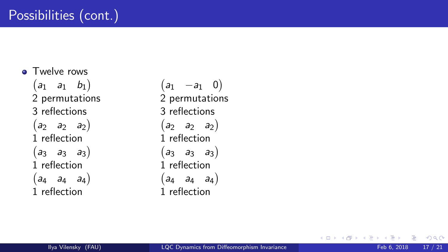**o** Twelve rows  $(a_1 \quad a_1 \quad b_1)$ 2 permutations 3 reflections  $(a_2 \ a_2 \ a_2)$ 1 reflection  $(a_3 \ a_3 \ a_3)$ 1 reflection  $\begin{pmatrix} a_4 & a_4 & a_4 \end{pmatrix}$ 1 reflection

 $(a_1$  −a<sub>1</sub> 0) 2 permutations 3 reflections  $(a_2 \ a_2 \ a_2)$ 1 reflection  $(a_3 \ a_3 \ a_3)$ 1 reflection  $\begin{pmatrix} a_4 & a_4 & a_4 \end{pmatrix}$ 1 reflection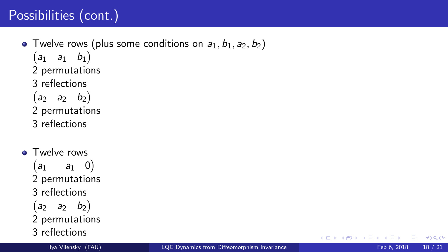# Possibilities (cont.)

• Twelve rows (plus some conditions on  $a_1, b_1, a_2, b_2$ )  $(a_1 \quad a_1 \quad b_1)$ 2 permutations 3 reflections  $\begin{pmatrix} a_2 & a_2 & b_2 \end{pmatrix}$ 2 permutations 3 reflections

**• Twelve rows**  $(a_1$  −a<sub>1</sub> 0) 2 permutations 3 reflections  $(a_2 \ a_2 \ b_2)$ 2 permutations 3 reflections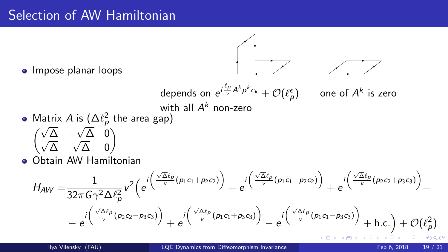# Selection of AW Hamiltonian



• Impose planar loops

<sup>√</sup>

√ ∆

$$
H_{AW} = \frac{1}{32\pi G\gamma^2 \Delta \ell_p^2} v^2 \left(e^{i\left(\frac{\sqrt{\Delta \ell_p}}{v}(p_1c_1 + p_2c_2)\right)} - e^{i\left(\frac{\sqrt{\Delta \ell_p}}{v}(p_1c_1 - p_2c_2)\right)} + e^{i\left(\frac{\sqrt{\Delta \ell_p}}{v}(p_2c_2 + p_3c_3)\right)} - e^{i\left(\frac{\sqrt{\Delta \ell_p}}{v}(p_2c_2 - p_3c_3)\right)} + e^{i\left(\frac{\sqrt{\Delta \ell_p}}{v}(p_1c_1 + p_3c_3)\right)} - e^{i\left(\frac{\sqrt{\Delta \ell_p}}{v}(p_1c_1 - p_3c_3)\right)} + h.c.\right) + \mathcal{O}(\ell_p^2)
$$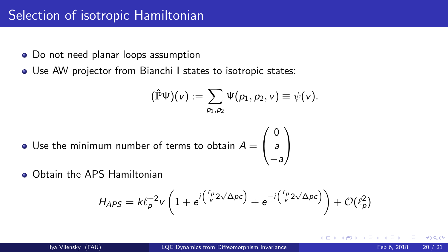# Selection of isotropic Hamiltonian

- Do not need planar loops assumption
- Use AW projector from Bianchi I states to isotropic states:

$$
(\hat{\mathbb{P}}\Psi)(v):=\sum_{p_1,p_2}\Psi(p_1,p_2,v)\equiv\psi(v).
$$

 $\setminus$  $\overline{1}$ 

- Use the minimum number of terms to obtain  $A=\emptyset$  $\sqrt{ }$  $\overline{1}$ 0 a −a
- **Obtain the APS Hamiltonian**

$$
H_{APS} = k\ell_P^{-2}v\left(1 + e^{i\left(\frac{\ell_P}{v}2\sqrt{\Delta}pc\right)} + e^{-i\left(\frac{\ell_P}{v}2\sqrt{\Delta}pc\right)}\right) + \mathcal{O}(\ell_P^2)
$$